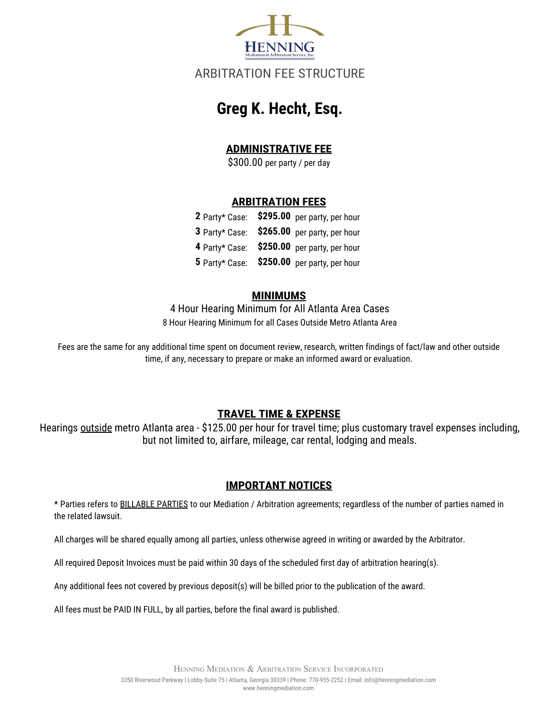

# ARBITRATION FEE STRUCTURE

# **Greg K. Hecht, Esq.**

## **ADMINISTRATIVE FEE**

\$300.00 per party / per day

#### **ARBITRATION FEES**

|  | 2 Party* Case: \$295.00 per party, per hour |
|--|---------------------------------------------|
|  | 3 Party* Case: \$265.00 per party, per hour |
|  | 4 Party* Case: \$250.00 per party, per hour |
|  | 5 Party* Case: \$250.00 per party, per hour |

#### **MINIMUMS**

4 Hour Hearing Minimum for All Atlanta Area Cases 8 Hour Hearing Minimum for all Cases Outside Metro Atlanta Area

Fees are the same for any additional time spent on document review, research, written findings of fact/law and other outside time, if any, necessary to prepare or make an informed award or evaluation.

### **TRAVEL TIME & EXPENSE**

Hearings outside metro Atlanta area - \$125.00 per hour for travel time; plus customary travel expenses including, but not limited to, airfare, mileage, car rental, lodging and meals.

#### **IMPORTANT NOTICES**

\* Parties refers to BILLABLE PARTIES to our Mediation / Arbitration agreements; regardless of the number of parties named in the related lawsuit.

All charges will be shared equally among all parties, unless otherwise agreed in writing or awarded by the Arbitrator.

All required Deposit Invoices must be paid within 30 days of the scheduled first day of arbitration hearing(s).

Any additional fees not covered by previous deposit(s) will be billed prior to the publication of the award.

All fees must be PAID IN FULL, by all parties, before the final award is published.